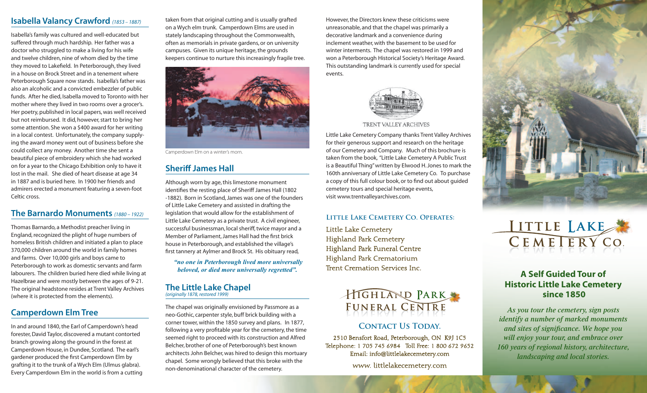#### **Isabella Valancy Crawford** *(1853 – 1887)*

Isabella's family was cultured and well-educated but suffered through much hardship. Her father was a doctor who struggled to make a living for his wife and twelve children, nine of whom died by the time they moved to Lakefield. In Peterborough, they lived in a house on Brock Street and in a tenement where Peterborough Square now stands. Isabella's father was also an alcoholic and a convicted embezzler of public funds. After he died, Isabella moved to Toronto with her mother where they lived in two rooms over a grocer's. Her poetry, published in local papers, was well received but not reimbursed. It did, however, start to bring her some attention. She won a \$400 award for her writing in a local contest. Unfortunately, the company supplying the award money went out of business before she could collect any money. Another time she sent a beautiful piece of embroidery which she had worked on for a year to the Chicago Exhibition only to have it lost in the mail. She died of heart disease at age 34 in 1887 and is buried here. In 1900 her friends and admirers erected a monument featuring a seven-foot Celtic cross.

#### **The Barnardo Monuments** *(1880 – 1922)*

Thomas Barnardo, a Methodist preacher living in England, recognized the plight of huge numbers of homeless British children and initiated a plan to place 370,000 children around the world in family homes and farms. Over 10,000 girls and boys came to Peterborough to work as domestic servants and farm labourers. The children buried here died while living at Hazelbrae and were mostly between the ages of 9-21. The original headstone resides at Trent Valley Archives (where it is protected from the elements).

# **Camperdown Elm Tree**

In and around 1840, the Earl of Camperdown's head forester, David Taylor, discovered a mutant contorted branch growing along the ground in the forest at Camperdown House, in Dundee, Scotland. The earl's gardener produced the first Camperdown Elm by grafting it to the trunk of a Wych Elm (Ulmus glabra). Every Camperdown Elm in the world is from a cutting

taken from that original cutting and is usually grafted on a Wych elm trunk. Camperdown Elms are used in stately landscaping throughout the Commonwealth, often as memorials in private gardens, or on university campuses. Given its unique heritage, the grounds keepers continue to nurture this increasingly fragile tree.



Camperdown Elm on a winter's morn.

# **Sheriff James Hall**

Although worn by age, this limestone monument identifies the resting place of Sheriff James Hall (1802 -1882). Born in Scotland, James was one of the founders of Little Lake Cemetery and assisted in drafting the legislation that would allow for the establishment of Little Lake Cemetery as a private trust. A civil engineer, successful businessman, local sheriff, twice mayor and a Member of Parliament, James Hall had the first brick house in Peterborough, and established the village's first tannery at Aylmer and Brock St. His obituary read,

 *"no one in Peterborough lived more universally beloved, or died more universally regretted".*

#### **The Little Lake Chapel**  *(originally 1878, restored 1999)*

The chapel was originally envisioned by Passmore as a neo-Gothic, carpenter style, buff brick building with a corner tower, within the 1850 survey and plans. In 1877, following a very profitable year for the cemetery, the time seemed right to proceed with its construction and Alfred Belcher, brother of one of Peterborough's best known architects John Belcher, was hired to design this mortuary chapel. Some wrongly believed that this broke with the non-denominational character of the cemetery.

However, the Directors knew these criticisms were unreasonable, and that the chapel was primarily a decorative landmark and a convenience during inclement weather, with the basement to be used for winter interments. The chapel was restored in 1999 and won a Peterborough Historical Society's Heritage Award. This outstanding landmark is currently used for special events.



**TRENT VALLEY ARCHIVES** 

Little Lake Cemetery Company thanks Trent Valley Archives for their generous support and research on the heritage of our Cemetery and Company. Much of this brochure is taken from the book, "Little Lake Cemetery A Public Trust is a Beautiful Thing" written by Elwood H. Jones to mark the 160th anniversary of Little Lake Cemetery Co. To purchase a copy of this full colour book, or to find out about guided cemetery tours and special heritage events, visit www.trentvalleyarchives.com.

#### **Little Lake Cemetery Co. Operates:**

Little Lake Cemetery Highland Park Cemetery Highland Park Funeral Centre Highland Park Crematorium Trent Cremation Services Inc.



# **CONTACT US TODAY.**

2510 Bensfort Road, Peterborough, ON K9J 1C5 Telephone: 1 705 745 6984 Toll Free: 1 800 672 9652 Email: info@littlelakecemetery.com

www. littlelakecemetery.com





# **A Self Guided Tour of Historic Little Lake Cemetery since 1850**

*As you tour the cemetery, sign posts identify a number of marked monuments and sites of significance. We hope you will enjoy your tour, and embrace over 160 years of regional history, architecture, landscaping and local stories.*